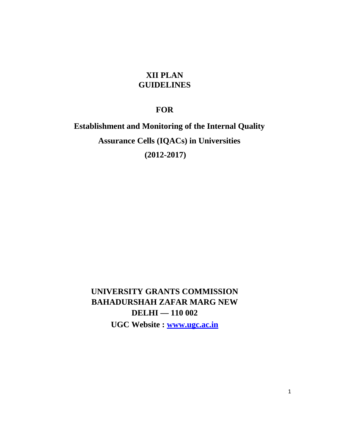# **XII PLAN GUIDELINES**

# **FOR**

# **Establishment and Monitoring of the Internal Quality Assurance Cells (IQACs) in Universities (2012-2017)**

**UNIVERSITY GRANTS COMMISSION BAHADURSHAH ZAFAR MARG NEW DELHI — 110 002 UGC Website : www.ugc.ac.in**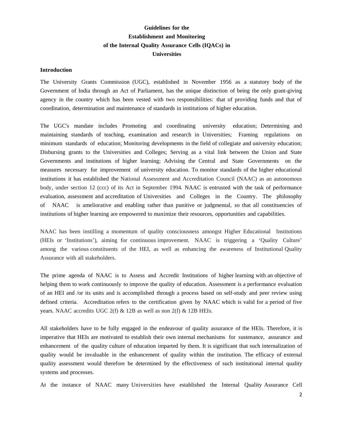# **Guidelines for the Establishment and Monitoring of the Internal Quality Assurance Cells (IQACs) in Universities**

#### **Introduction**

The University Grants Commission (UGC), established in November 1956 as a statutory body of the Government of India through an Act of Parliament, has the unique distinction of being the only grant-giving agency in the country which has been vested with two responsibilities: that of providing funds and that of coordination, determination and maintenance of standards in institutions of higher education.

The UGC's mandate includes Promoting and coordinating university education; Determining and maintaining standards of teaching, examination and research in Universities; Framing regulations on minimum standards of education; Monitoring developments in the field of collegiate and university education; Disbursing grants to the Universities and Colleges; Serving as a vital link between the Union and State Governments and institutions of higher learning; Advising the Central and State Governments on the measures necessary for improvement of university education. To monitor standards of the higher educational institutions it has established the National Assessment and Accreditation Council (NAAC) as an autonomous body, under section 12 (ccc) of its Act in September 1994. NAAC is entrusted with the task of performance evaluation, assessment and accreditation of Universities and Colleges in the Country. The philosophy of NAAC is ameliorative and enabling rather than punitive or judgmental, so that all constituencies of institutions of higher learning are empowered to maximize their resources, opportunities and capabilities.

NAAC has been instilling a momentum of quality consciousness amongst Higher Educational Institutions (HEIs or 'Institutions'), aiming for continuous improvement. NAAC is triggering a 'Quality Culture' among the various constituents of the HEI, as well as enhancing the awareness of Institutional Quality Assurance with all stakeholders.

The prime agenda of NAAC is to Assess and Accredit Institutions of higher learning with an objective of helping them to work continuously to improve the quality of education. Assessment is a performance evaluation of an HEI and /or its units and is accomplished through a process based on self-study and peer review using defined criteria. Accreditation refers to the certification given by NAAC which is valid for a period of five years. NAAC accredits UGC 2(f) & 12B as well as non 2(f) & 12B HEIs.

All stakeholders have to be fully engaged in the endeavour of quality assurance of the HEIs. Therefore, it is imperative that HEIs are motivated to establish their own internal mechanisms for sustenance, assurance and enhancement of the quality culture of education imparted by them. It is significant that such internalization of quality would be invaluable in the enhancement of quality within the institution. The efficacy of external quality assessment would therefore be determined by the effectiveness of such institutional internal quality systems and processes.

At the instance of NAAC many Universities have established the Internal Quality Assurance Cell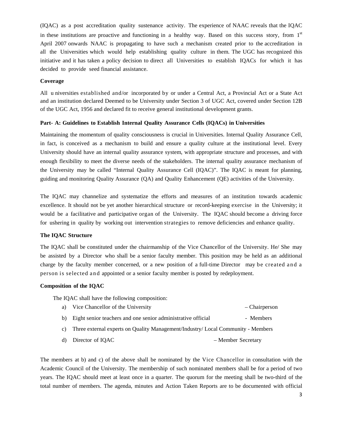(IQAC) as a post accreditation quality sustenance activity. The experience of NAAC reveals that the IQAC in these institutions are proactive and functioning in a healthy way. Based on this success story, from 1<sup>st</sup> April 2007 onwards NAAC is propagating to have such a mechanism created prior to the accreditation in all the Universities which would help establishing quality culture in them. The UGC has recognized this initiative and it has taken a policy decision to direct all Universities to establish IQACs for which it has decided to provide seed financial assistance.

#### **Coverage**

All u niversities established and/or incorporated by or under a Central Act, a Provincial Act or a State Act and an institution declared Deemed to be University under Section 3 of UGC Act, covered under Section 12B of the UGC Act, 1956 and declared fit to receive general institutional development grants.

#### **Part- A: Guidelines to Establish Internal Quality Assurance Cells (IQACs) in Universities**

Maintaining the momentum of quality consciousness is crucial in Universities. Internal Quality Assurance Cell, in fact, is conceived as a mechanism to build and ensure a quality culture at the institutional level. Every University should have an internal quality assurance system, with appropriate structure and processes, and with enough flexibility to meet the diverse needs of the stakeholders. The internal quality assurance mechanism of the University may be called "Internal Quality Assurance Cell (IQAC)". The IQAC is meant for planning, guiding and monitoring Quality Assurance (QA) and Quality Enhancement (QE) activities of the University.

The IQAC may channelize and systematize the efforts and measures of an institution towards academic excellence. It should not be yet another hierarchical structure or record-keeping exercise in the University; it would be a facilitative and participative organ of the University. The IQAC should become a driving force for ushering in quality by working out intervention strategies to remove deficiencies and enhance quality.

#### **The IQAC Structure**

The IQAC shall be constituted under the chairmanship of the Vice Chancellor of the University. He/ She may be assisted by a Director who shall be a senior faculty member. This position may be held as an additional charge by the faculty member concerned, or a new position of a full-time Director may be created and a person is selected and appointed or a senior faculty member is posted by redeployment.

#### **Composition of the IQAC**

The IQAC shall have the following composition:

|  | a) Vice Chancellor of the University | – Chairperson |
|--|--------------------------------------|---------------|
|--|--------------------------------------|---------------|

- b) Eight senior teachers and one senior administrative official Members
- c) Three external experts on Quality Management/Industry/ Local Community Members
- d) Director of IOAC Member Secretary

The members at b) and c) of the above shall be nominated by the Vice Chancellor in consultation with the Academic Council of the University. The membership of such nominated members shall be for a period of two years. The IQAC should meet at least once in a quarter. The quorum for the meeting shall be two-third of the total number of members. The agenda, minutes and Action Taken Reports are to be documented with official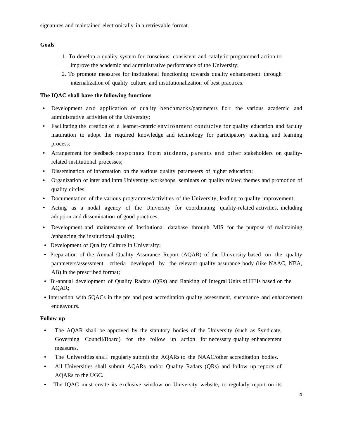#### **Goals**

- 1. To develop a quality system for conscious, consistent and catalytic programmed action to improve the academic and administrative performance of the University;
- 2. To promote measures for institutional functioning towards quality enhancement through internalization of quality culture and institutionalization of best practices.

#### **The IQAC shall have the following functions**

- Development and application of quality benchmarks/parameters for the various academic and administrative activities of the University;
- Facilitating the creation of a learner-centric environment conducive for quality education and faculty maturation to adopt the required knowledge and technology for participatory teaching and learning process;
- Arrangement for feedback responses from students, parents and other stakeholders on qualityrelated institutional processes;
- Dissemination of information on the various quality parameters of higher education;
- Organization of inter and intra University workshops, seminars on quality related themes and promotion of quality circles;
- Documentation of the various programmes/activities of the University, leading to quality improvement;
- Acting as a nodal agency of the University for coordinating quality-related activities, including adoption and dissemination of good practices;
- Development and maintenance of Institutional database through MIS for the purpose of maintaining /enhancing the institutional quality;
- Development of Quality Culture in University;
- Preparation of the Annual Quality Assurance Report (AQAR) of the University based on the quality parameters/assessment criteria developed by the relevant quality assurance body (like NAAC, NBA, AB) in the prescribed format;
- Bi-annual development of Quality Radars (QRs) and Ranking of Integral Units of HEIs based on the AQAR;
- Interaction with SQACs in the pre and post accreditation quality assessment, sustenance and enhancement endeavours.

#### **Follow up**

- The AQAR shall be approved by the statutory bodies of the University (such as Syndicate, Governing Council/Board) for the follow up action for necessary quality enhancement measures.
- The Universities shall regularly submit the AQARs to the NAAC/other accreditation bodies.
- All Universities shall submit AQARs and/or Quality Radars (QRs) and follow up reports of AQARs to the UGC.
- The IQAC must create its exclusive window on University website, to regularly report on its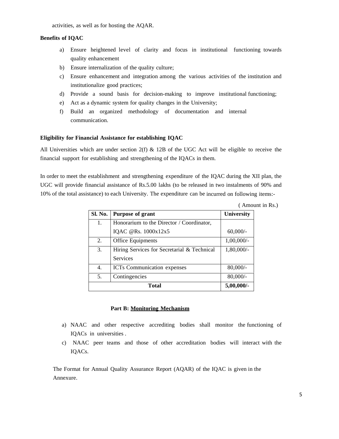activities, as well as for hosting the AQAR.

## **Benefits of IQAC**

- a) Ensure heightened level of clarity and focus in institutional functioning towards quality enhancement
- b) Ensure internalization of the quality culture;
- c) Ensure enhancement and integration among the various activities of the institution and institutionalize good practices;
- d) Provide a sound basis for decision-making to improve institutional functioning;
- e) Act as a dynamic system for quality changes in the University;
- f) Build an organized methodology of documentation and internal communication.

#### **Eligibility for Financial Assistance for establishing IQAC**

All Universities which are under section  $2(f)$  & 12B of the UGC Act will be eligible to receive the financial support for establishing and strengthening of the IQACs in them.

In order to meet the establishment and strengthening expenditure of the IQAC during the XII plan, the UGC will provide financial assistance of Rs.5.00 lakhs (to be released in two instalments of 90% and 10% of the total assistance) to each University. The expenditure can be incurred on following items:-

| Sl. No. | <b>Purpose of grant</b>                     | University   |
|---------|---------------------------------------------|--------------|
| 1.      | Honorarium to the Director / Coordinator,   |              |
|         | IQAC @Rs. 1000x12x5                         | $60,000/-$   |
| 2.      | Office Equipments                           | $1,00,000/-$ |
| 3.      | Hiring Services for Secretarial & Technical | 1,80,000/-   |
|         | <b>Services</b>                             |              |
| 4.      | <b>ICTs</b> Communication expenses          | $80,000/$ -  |
| 5.      | Contingencies                               | $80,000/-$   |
|         | 5,00,000/-                                  |              |

( Amount in Rs.)

#### **Part B: Monitoring Mechanism**

- a) NAAC and other respective accrediting bodies shall monitor the functioning of IQACs in universities .
- c) NAAC peer teams and those of other accreditation bodies will interact with the IQACs.

The Format for Annual Quality Assurance Report (AQAR) of the IQAC is given in the Annexure.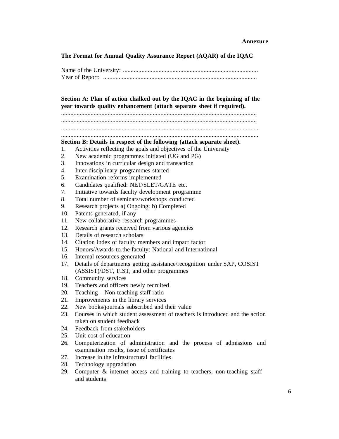**The Format for Annual Quality Assurance Report (AQAR) of the IQAC**

# **Section A: Plan of action chalked out by the IQAC in the beginning of the year towards quality enhancement (attach separate sheet if required).**

..............................................................................................................................

..............................................................................................................................

............................................................................................................................... ...............................................................................................................................

## **Section B: Details in respect of the following (attach separate sheet).**

- 1. Activities reflecting the goals and objectives of the University
- 2. New academic programmes initiated (UG and PG)
- 3. Innovations in curricular design and transaction
- 4. Inter-disciplinary programmes started
- 5. Examination reforms implemented
- 6. Candidates qualified: NET/SLET/GATE etc.
- 7. Initiative towards faculty development programme
- 8. Total number of seminars/workshops conducted
- 9. Research projects a) Ongoing; b) Completed
- 10. Patents generated, if any
- 11. New collaborative research programmes
- 12. Research grants received from various agencies
- 13. Details of research scholars
- 14. Citation index of faculty members and impact factor
- 15. Honors/Awards to the faculty: National and International
- 16. Internal resources generated
- 17. Details of departments getting assistance/recognition under SAP, COSIST (ASSIST)/DST, FIST, and other programmes
- 18. Community services
- 19. Teachers and officers newly recruited
- 20. Teaching Non-teaching staff ratio
- 21. Improvements in the library services
- 22. New books/journals subscribed and their value
- 23. Courses in which student assessment of teachers is introduced and the action taken on student feedback
- 24. Feedback from stakeholders
- 25. Unit cost of education
- 26. Computerization of administration and the process of admissions and examination results, issue of certificates
- 27. Increase in the infrastructural facilities
- 28. Technology upgradation
- 29. Computer & internet access and training to teachers, non-teaching staff and students